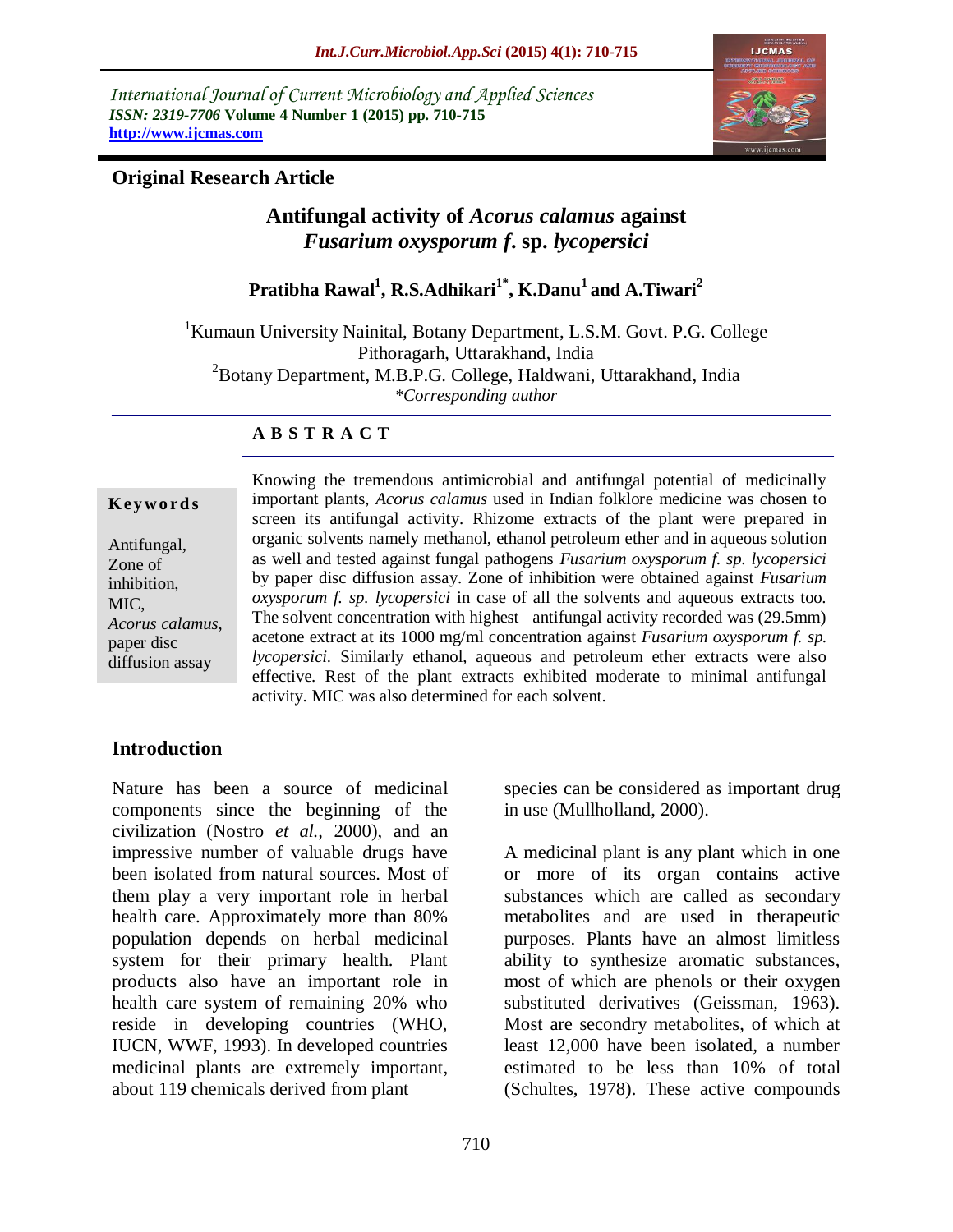*International Journal of Current Microbiology and Applied Sciences ISSN: 2319-7706* **Volume 4 Number 1 (2015) pp. 710-715 http://www.ijcmas.com** 



### **Original Research Article**

# **Antifungal activity of** *Acorus calamus* **against**  *Fusarium oxysporum f***. sp.** *lycopersici*

**Pratibha Rawal<sup>1</sup> , R.S.Adhikari1\* , K.Danu<sup>1</sup> and A.Tiwari<sup>2</sup>**

<sup>1</sup> Kumaun University Nainital, Botany Department, L.S.M. Govt. P.G. College Pithoragarh, Uttarakhand, India <sup>2</sup>Botany Department, M.B.P.G. College, Haldwani, Uttarakhand, India

*\*Corresponding author*

#### **A B S T R A C T**

#### **K ey w o rd s**

Antifungal, Zone of inhibition, MIC, *Acorus calamus,* paper disc diffusion assay

Knowing the tremendous antimicrobial and antifungal potential of medicinally important plants, *Acorus calamus* used in Indian folklore medicine was chosen to screen its antifungal activity. Rhizome extracts of the plant were prepared in organic solvents namely methanol, ethanol petroleum ether and in aqueous solution as well and tested against fungal pathogens *Fusarium oxysporum f. sp. lycopersici*  by paper disc diffusion assay. Zone of inhibition were obtained against *Fusarium oxysporum f. sp. lycopersici* in case of all the solvents and aqueous extracts too. The solvent concentration with highest antifungal activity recorded was (29.5mm) acetone extract at its 1000 mg/ml concentration against *Fusarium oxysporum f. sp. lycopersici.* Similarly ethanol, aqueous and petroleum ether extracts were also effective. Rest of the plant extracts exhibited moderate to minimal antifungal activity. MIC was also determined for each solvent.

### **Introduction**

Nature has been a source of medicinal components since the beginning of the civilization (Nostro *et al.,* 2000), and an impressive number of valuable drugs have been isolated from natural sources. Most of them play a very important role in herbal health care. Approximately more than 80% population depends on herbal medicinal system for their primary health. Plant products also have an important role in health care system of remaining 20% who reside in developing countries (WHO, IUCN, WWF, 1993). In developed countries medicinal plants are extremely important, about 119 chemicals derived from plant

species can be considered as important drug in use (Mullholland, 2000).

A medicinal plant is any plant which in one or more of its organ contains active substances which are called as secondary metabolites and are used in therapeutic purposes. Plants have an almost limitless ability to synthesize aromatic substances, most of which are phenols or their oxygen substituted derivatives (Geissman, 1963). Most are secondry metabolites, of which at least 12,000 have been isolated, a number estimated to be less than 10% of total (Schultes, 1978). These active compounds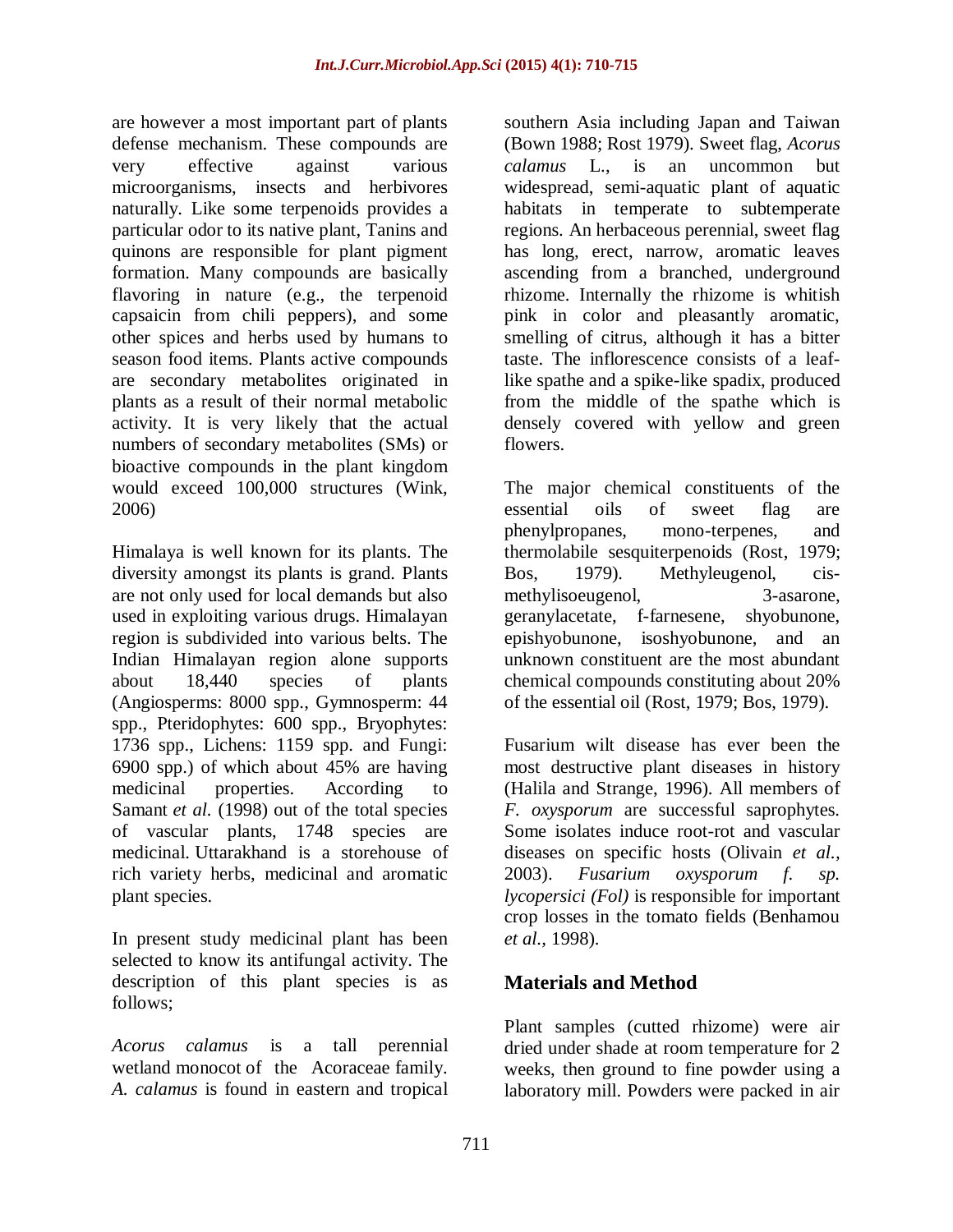are however a most important part of plants defense mechanism. These compounds are very effective against various microorganisms, insects and herbivores naturally. Like some terpenoids provides a particular odor to its native plant, Tanins and quinons are responsible for plant pigment formation. Many compounds are basically flavoring in nature (e.g., the terpenoid capsaicin from chili peppers), and some other spices and herbs used by humans to season food items. Plants active compounds are secondary metabolites originated in plants as a result of their normal metabolic activity. It is very likely that the actual numbers of secondary metabolites (SMs) or bioactive compounds in the plant kingdom would exceed 100,000 structures (Wink, 2006)

Himalaya is well known for its plants. The diversity amongst its plants is grand. Plants are not only used for local demands but also used in exploiting various drugs. Himalayan region is subdivided into various belts. The Indian Himalayan region alone supports about 18,440 species of plants (Angiosperms: 8000 spp., Gymnosperm: 44 spp., Pteridophytes: 600 spp., Bryophytes: 1736 spp., Lichens: 1159 spp. and Fungi: 6900 spp.) of which about 45% are having medicinal properties. According to Samant *et al.* (1998) out of the total species of vascular plants, 1748 species are medicinal. Uttarakhand is a storehouse of rich variety herbs, medicinal and aromatic plant species.

In present study medicinal plant has been selected to know its antifungal activity. The description of this plant species is as follows;

*Acorus calamus* is a tall [perennial](http://en.wikipedia.org/wiki/Perennial_plant) [wetland](http://en.wikipedia.org/wiki/Wetland) [monocot](http://en.wikipedia.org/wiki/Monocot) of the [Acoraceae](http://en.wikipedia.org/wiki/Acoraceae) family. *A. calamus* is found in eastern and tropical

southern Asia including Japan and Taiwan (Bown 1988; Rost 1979). Sweet flag, *Acorus calamus* L., is an uncommon but widespread, semi-aquatic plant of aquatic habitats in temperate to subtemperate regions. An herbaceous perennial, sweet flag has long, erect, narrow, aromatic leaves ascending from a branched, underground rhizome. Internally the rhizome is whitish pink in color and pleasantly aromatic, smelling of citrus, although it has a bitter taste. The inflorescence consists of a leaflike spathe and a spike-like spadix, produced from the middle of the spathe which is densely covered with yellow and green flowers.

The major chemical constituents of the essential oils of sweet flag are phenylpropanes, mono-terpenes, and thermolabile sesquiterpenoids (Rost, 1979; Bos, 1979). Methyleugenol, cismethylisoeugenol, 3-asarone, geranylacetate, f-farnesene, shyobunone, epishyobunone, isoshyobunone, and an unknown constituent are the most abundant chemical compounds constituting about 20% of the essential oil (Rost, 1979; Bos, 1979).

Fusarium wilt disease has ever been the most destructive plant diseases in history (Halila and Strange, 1996). All members of *F. oxysporum* are successful saprophytes. Some isolates induce root-rot and vascular diseases on specific hosts (Olivain *et al.,*  2003). *Fusarium oxysporum f. sp. lycopersici (Fol)* is responsible for important crop losses in the tomato fields (Benhamou *et al.,* 1998).

# **Materials and Method**

Plant samples (cutted rhizome) were air dried under shade at room temperature for 2 weeks, then ground to fine powder using a laboratory mill. Powders were packed in air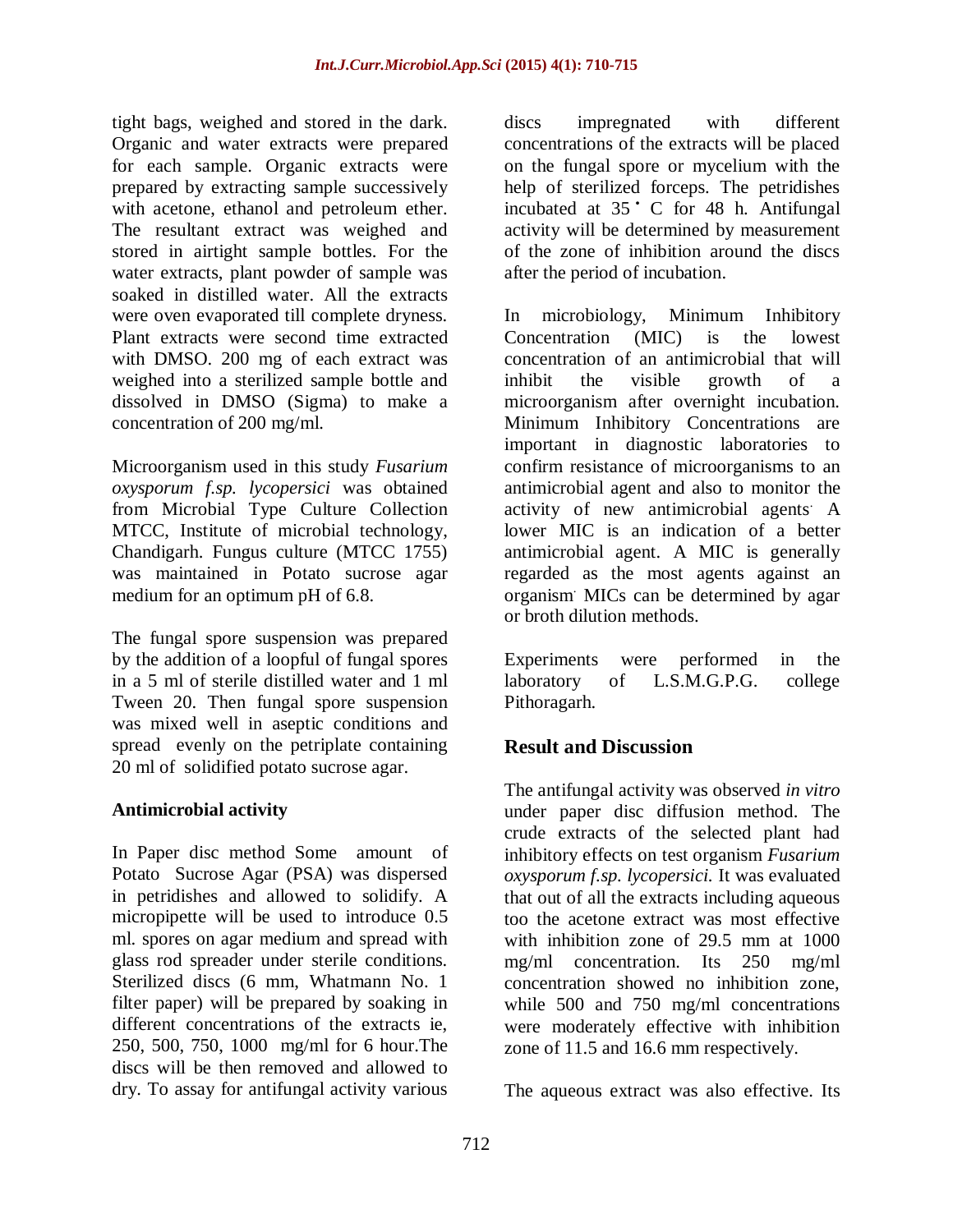tight bags, weighed and stored in the dark. Organic and water extracts were prepared for each sample. Organic extracts were prepared by extracting sample successively with acetone, ethanol and petroleum ether. The resultant extract was weighed and stored in airtight sample bottles. For the water extracts, plant powder of sample was soaked in distilled water. All the extracts were oven evaporated till complete dryness. Plant extracts were second time extracted with DMSO. 200 mg of each extract was weighed into a sterilized sample bottle and dissolved in DMSO (Sigma) to make a concentration of 200 mg/ml.

Microorganism used in this study *Fusarium oxysporum f.sp. lycopersici* was obtained from Microbial Type Culture Collection MTCC, Institute of microbial technology, Chandigarh. Fungus culture (MTCC 1755) was maintained in Potato sucrose agar medium for an optimum pH of 6.8.

The fungal spore suspension was prepared by the addition of a loopful of fungal spores in a 5 ml of sterile distilled water and 1 ml Tween 20. Then fungal spore suspension was mixed well in aseptic conditions and spread evenly on the petriplate containing 20 ml of solidified potato sucrose agar.

### **Antimicrobial activity**

In Paper disc method Some amount of Potato Sucrose Agar (PSA) was dispersed in petridishes and allowed to solidify. A micropipette will be used to introduce 0.5 ml. spores on agar medium and spread with glass rod spreader under sterile conditions. Sterilized discs (6 mm, Whatmann No. 1 filter paper) will be prepared by soaking in different concentrations of the extracts ie, 250, 500, 750, 1000 mg/ml for 6 hour.The discs will be then removed and allowed to dry. To assay for antifungal activity various

discs impregnated with different concentrations of the extracts will be placed on the fungal spore or mycelium with the help of sterilized forceps. The petridishes incubated at 35 C for 48 h. Antifungal activity will be determined by measurement of the zone of inhibition around the discs after the period of incubation.

In [microbiology,](http://en.wikipedia.org/wiki/Microbiology) Minimum Inhibitory Concentration (MIC) is the lowest [concentration](http://en.wikipedia.org/wiki/Concentration) of an [antimicrobial](http://en.wikipedia.org/wiki/Antimicrobial) that will inhibit the visible [growth](http://en.wikipedia.org/wiki/Cell_growth) of a [microorganism](http://en.wikipedia.org/wiki/Microorganism) after overnight incubation. Minimum Inhibitory Concentrations are important in diagnostic laboratories to confirm resistance of microorganisms to an antimicrobial agent and also to monitor the activity of new antimicrobial agents. A lower MIC is an indication of a better antimicrobial agent. A MIC is generally regarded as the most agents against an organism. MICs can be determined by agar or broth dilution methods.

Experiments were performed in the laboratory of L.S.M.G.P.G. college Pithoragarh.

# **Result and Discussion**

The antifungal activity was observed *in vitro* under paper disc diffusion method. The crude extracts of the selected plant had inhibitory effects on test organism *Fusarium oxysporum f.sp. lycopersici.* It was evaluated that out of all the extracts including aqueous too the acetone extract was most effective with inhibition zone of 29.5 mm at 1000 mg/ml concentration. Its 250 mg/ml concentration showed no inhibition zone, while 500 and 750 mg/ml concentrations were moderately effective with inhibition zone of 11.5 and 16.6 mm respectively.

The aqueous extract was also effective. Its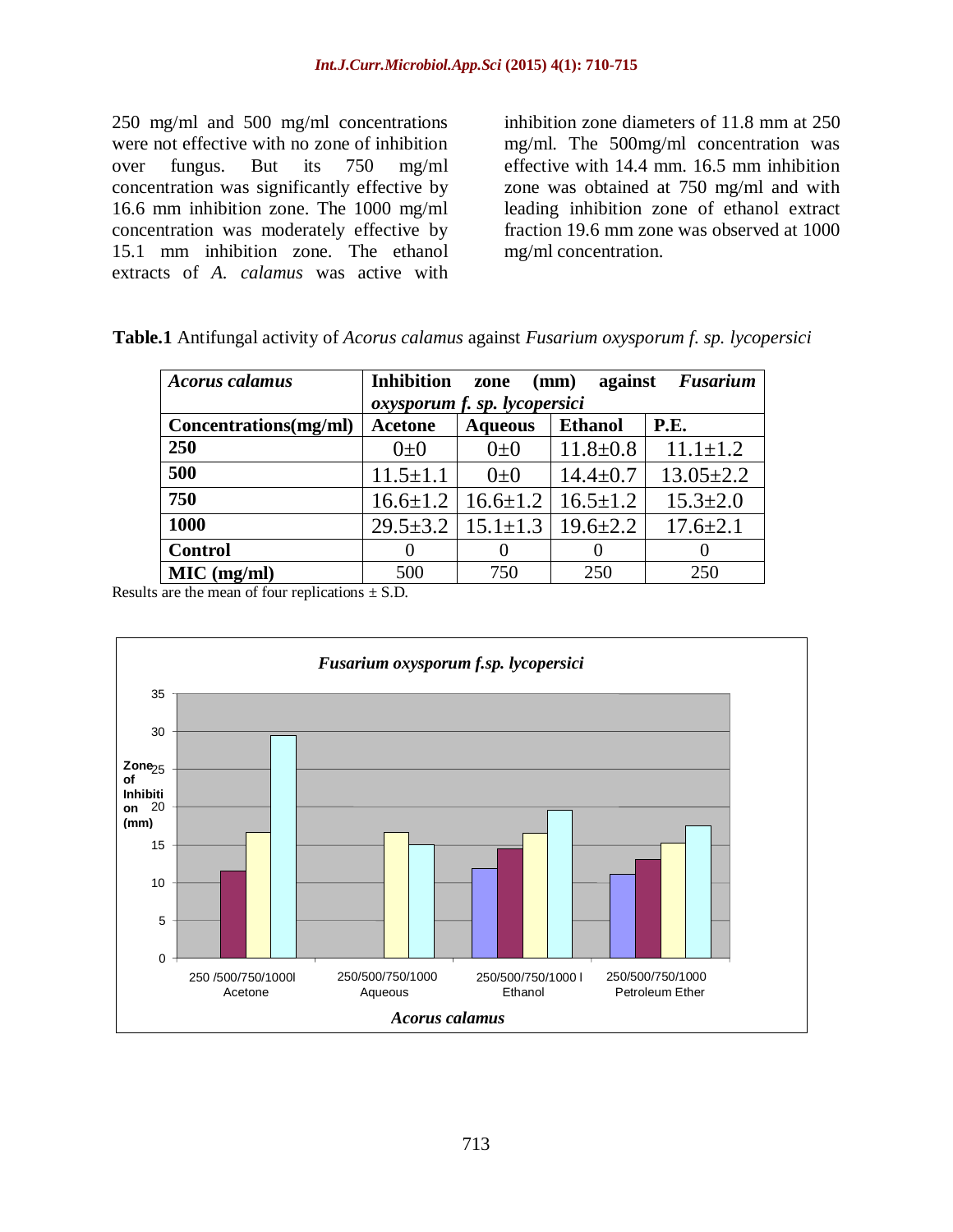250 mg/ml and 500 mg/ml concentrations were not effective with no zone of inhibition over fungus. But its 750 mg/ml concentration was significantly effective by 16.6 mm inhibition zone. The 1000 mg/ml concentration was moderately effective by 15.1 mm inhibition zone. The ethanol extracts of *A. calamus* was active with

inhibition zone diameters of 11.8 mm at 250 mg/ml. The 500mg/ml concentration was effective with 14.4 mm. 16.5 mm inhibition zone was obtained at 750 mg/ml and with leading inhibition zone of ethanol extract fraction 19.6 mm zone was observed at 1000 mg/ml concentration.

| <b>Acorus calamus</b> | <b>Inhibition</b><br><b>Fusarium</b><br>(mm)<br>against<br>zone<br>oxysporum f. sp. lycopersici |                                 |                |                 |  |  |  |
|-----------------------|-------------------------------------------------------------------------------------------------|---------------------------------|----------------|-----------------|--|--|--|
| Concentrations(mg/ml) | <b>Acetone</b>                                                                                  | <b>Aqueous</b>                  | <b>Ethanol</b> | P.E.            |  |  |  |
| 250                   | $0\pm 0$                                                                                        | $0\pm 0$                        | $11.8 \pm 0.8$ | $11.1 \pm 1.2$  |  |  |  |
| 500                   | $11.5 \pm 1.1$                                                                                  | $0\pm 0$                        | $14.4 \pm 0.7$ | $13.05 \pm 2.2$ |  |  |  |
| 750                   | $16.6 \pm 1.2$                                                                                  | $16.6 \pm 1.2$   $16.5 \pm 1.2$ |                | $15.3 \pm 2.0$  |  |  |  |
| 1000                  | $29.5 \pm 3.2$                                                                                  | $15.1 \pm 1.3$                  | $19.6 \pm 2.2$ | $17.6 \pm 2.1$  |  |  |  |
| <b>Control</b>        |                                                                                                 | $\theta$                        | $\theta$       |                 |  |  |  |
| MIC (mg/ml)           | 500                                                                                             | 750                             | 250            | 250             |  |  |  |

| Table.1 Antifungal activity of Acorus calamus against Fusarium oxysporum f. sp. lycopersici |  |  |
|---------------------------------------------------------------------------------------------|--|--|
|                                                                                             |  |  |

Results are the mean of four replications  $\pm$  S.D.

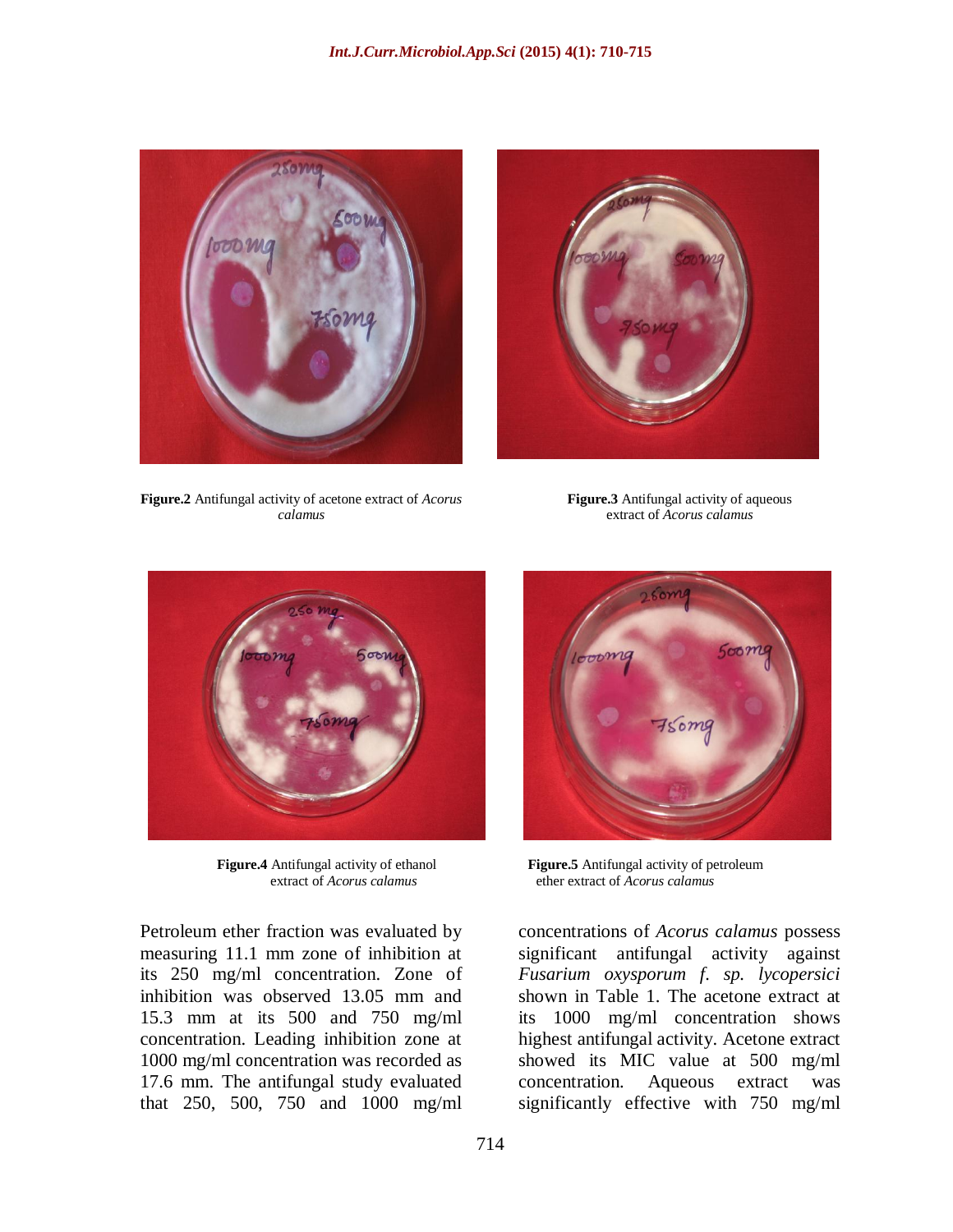



**Figure.2** Antifungal activity of acetone extract of *Acorus calamus*

**Figure.3** Antifungal activity of aqueous extract of *Acorus calamus*



Petroleum ether fraction was evaluated by measuring 11.1 mm zone of inhibition at its 250 mg/ml concentration. Zone of inhibition was observed 13.05 mm and 15.3 mm at its 500 and 750 mg/ml concentration. Leading inhibition zone at 1000 mg/ml concentration was recorded as 17.6 mm. The antifungal study evaluated that 250, 500, 750 and 1000 mg/ml



**Figure.4** Antifungal activity of ethanol<br>extract of *Acorus calamus* ether extract of *Acorus calamus* extract of *Acorus calamus* ether extract of *Acorus calamus*

concentrations of *Acorus calamus* possess significant antifungal activity against *Fusarium oxysporum f. sp. lycopersici*  shown in Table 1. The acetone extract at its 1000 mg/ml concentration shows highest antifungal activity. Acetone extract showed its MIC value at 500 mg/ml concentration. Aqueous extract was significantly effective with 750 mg/ml